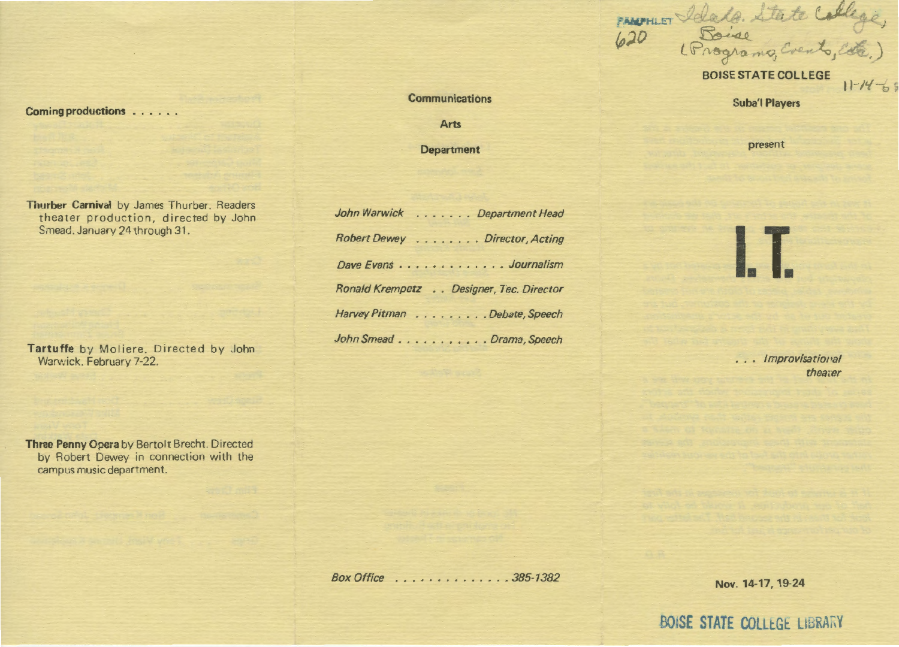Coming productions . . . . . .

Thurber Carnival by James Thurber. Readers theater production, directed by John Smead. January 24 through 31.

Tartuffe by Moliere. Directed by John Warv:ick. February 7-22.

Three Penny Opera by Bertolt Brecht. Directed by Robert Dewey in connection with the campus music department.

**Communications** 

Arts

Department

| John Warwick Department Head            |
|-----------------------------------------|
| Robert Dewey Director, Acting           |
| Dave Evans Journalism                   |
| Ronald Krempetz Designer, Tec. Director |
| Harvey Pitman Debate, Speech            |
| John Smead Drama, Speech                |

BOISE STATE COLLEGE

 $11 - 14 - 55$ 

PANTHLET Idade. State College,

Suba'l Players

present

I. I

... Improvisational thearer

Box Office . . . . . . . . . . . . . . 385-1382

Nov. 14-17, 19-24

BOISE STATE COLLEGE LIBRARY